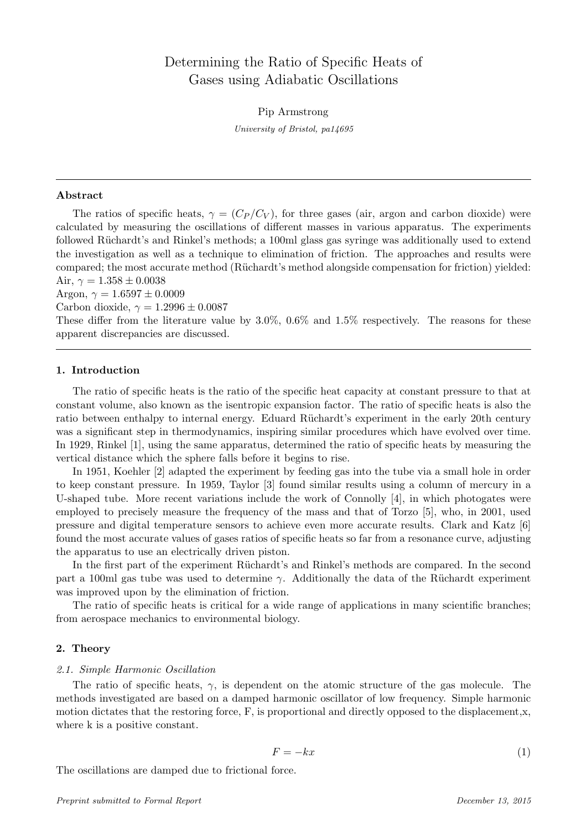# Determining the Ratio of Specific Heats of Gases using Adiabatic Oscillations

Pip Armstrong

University of Bristol, pa14695

#### Abstract

The ratios of specific heats,  $\gamma = (C_P/C_V)$ , for three gases (air, argon and carbon dioxide) were calculated by measuring the oscillations of different masses in various apparatus. The experiments followed Rüchardt's and Rinkel's methods; a 100ml glass gas syringe was additionally used to extend the investigation as well as a technique to elimination of friction. The approaches and results were compared; the most accurate method (Rüchardt's method alongside compensation for friction) yielded: Air,  $\gamma = 1.358 \pm 0.0038$ 

Argon,  $\gamma = 1.6597 \pm 0.0009$ 

Carbon dioxide,  $\gamma = 1.2996 \pm 0.0087$ 

These differ from the literature value by 3.0%, 0.6% and 1.5% respectively. The reasons for these apparent discrepancies are discussed.

## 1. Introduction

The ratio of specific heats is the ratio of the specific heat capacity at constant pressure to that at constant volume, also known as the isentropic expansion factor. The ratio of specific heats is also the ratio between enthalpy to internal energy. Eduard Rüchardt's experiment in the early 20th century was a significant step in thermodynamics, inspiring similar procedures which have evolved over time. In 1929, Rinkel [1], using the same apparatus, determined the ratio of specific heats by measuring the vertical distance which the sphere falls before it begins to rise.

In 1951, Koehler [2] adapted the experiment by feeding gas into the tube via a small hole in order to keep constant pressure. In 1959, Taylor [3] found similar results using a column of mercury in a U-shaped tube. More recent variations include the work of Connolly [4], in which photogates were employed to precisely measure the frequency of the mass and that of Torzo [5], who, in 2001, used pressure and digital temperature sensors to achieve even more accurate results. Clark and Katz [6] found the most accurate values of gases ratios of specific heats so far from a resonance curve, adjusting the apparatus to use an electrically driven piston.

In the first part of the experiment Rüchardt's and Rinkel's methods are compared. In the second part a 100ml gas tube was used to determine  $\gamma$ . Additionally the data of the Rüchardt experiment was improved upon by the elimination of friction.

The ratio of specific heats is critical for a wide range of applications in many scientific branches; from aerospace mechanics to environmental biology.

## 2. Theory

#### 2.1. Simple Harmonic Oscillation

The ratio of specific heats,  $\gamma$ , is dependent on the atomic structure of the gas molecule. The methods investigated are based on a damped harmonic oscillator of low frequency. Simple harmonic motion dictates that the restoring force, F, is proportional and directly opposed to the displacement,x, where k is a positive constant.

$$
F = -kx\tag{1}
$$

The oscillations are damped due to frictional force.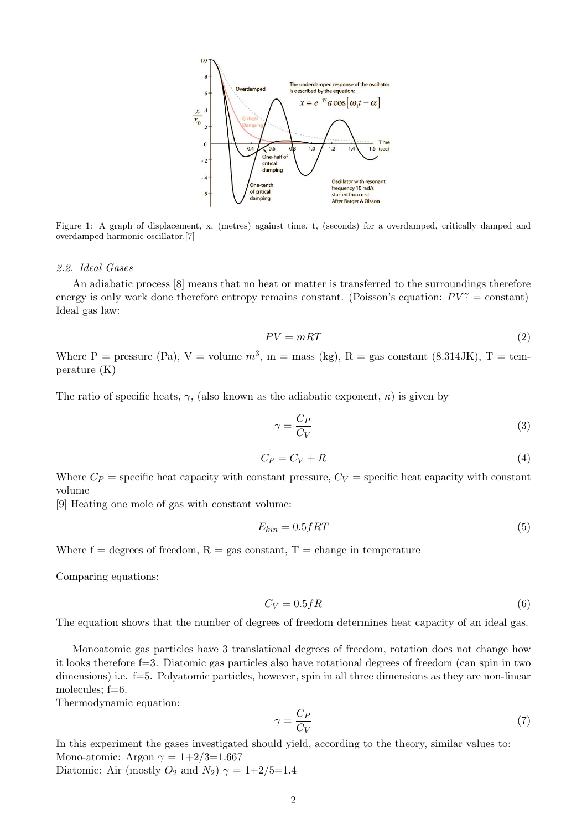

Figure 1: A graph of displacement, x, (metres) against time, t, (seconds) for a overdamped, critically damped and overdamped harmonic oscillator.[7]

#### 2.2. Ideal Gases

An adiabatic process [8] means that no heat or matter is transferred to the surroundings therefore energy is only work done therefore entropy remains constant. (Poisson's equation:  $PV^{\gamma} = \text{constant}$ ) Ideal gas law:

$$
PV = mRT \tag{2}
$$

Where P = pressure (Pa), V = volume  $m^3$ , m = mass (kg), R = gas constant (8.314JK), T = temperature (K)

The ratio of specific heats,  $\gamma$ , (also known as the adiabatic exponent,  $\kappa$ ) is given by

$$
\gamma = \frac{C_P}{C_V} \tag{3}
$$

$$
C_P = C_V + R \tag{4}
$$

Where  $C_P$  = specific heat capacity with constant pressure,  $C_V$  = specific heat capacity with constant volume

[9] Heating one mole of gas with constant volume:

$$
E_{kin} = 0.5fRT\tag{5}
$$

Where  $f = \text{degrees of freedom}, R = \text{gas constant}, T = \text{change in temperature}$ 

Comparing equations:

$$
C_V = 0.5fR\tag{6}
$$

The equation shows that the number of degrees of freedom determines heat capacity of an ideal gas.

Monoatomic gas particles have 3 translational degrees of freedom, rotation does not change how it looks therefore f=3. Diatomic gas particles also have rotational degrees of freedom (can spin in two dimensions) i.e. f=5. Polyatomic particles, however, spin in all three dimensions as they are non-linear molecules;  $f=6$ .

Thermodynamic equation:

$$
\gamma = \frac{C_P}{C_V} \tag{7}
$$

In this experiment the gases investigated should yield, according to the theory, similar values to: Mono-atomic: Argon  $\gamma = 1+2/3=1.667$ 

Diatomic: Air (mostly  $O_2$  and  $N_2$ )  $\gamma = 1+2/5=1.4$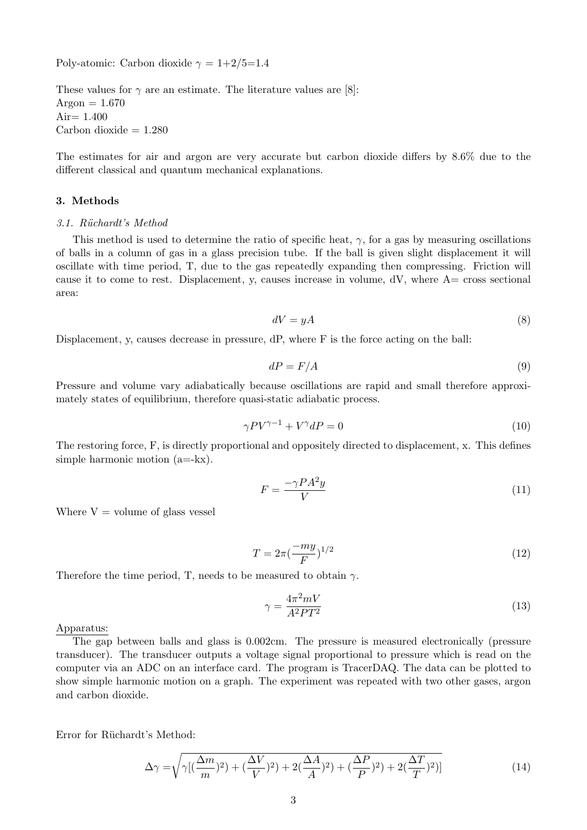Poly-atomic: Carbon dioxide  $\gamma = 1+2/5=1.4$ 

These values for  $\gamma$  are an estimate. The literature values are [8]: Argon  $= 1.670$ Air=  $1.400$ Carbon dioxide  $= 1.280$ 

The estimates for air and argon are very accurate but carbon dioxide differs by 8.6% due to the different classical and quantum mechanical explanations.

#### 3. Methods

#### 3.1. Rüchardt's Method

This method is used to determine the ratio of specific heat,  $\gamma$ , for a gas by measuring oscillations of balls in a column of gas in a glass precision tube. If the ball is given slight displacement it will oscillate with time period, T, due to the gas repeatedly expanding then compressing. Friction will cause it to come to rest. Displacement, y, causes increase in volume, dV, where A= cross sectional area:

$$
dV = yA \tag{8}
$$

Displacement, y, causes decrease in pressure, dP, where F is the force acting on the ball:

$$
dP = F/A \tag{9}
$$

Pressure and volume vary adiabatically because oscillations are rapid and small therefore approximately states of equilibrium, therefore quasi-static adiabatic process.

$$
\gamma PV^{\gamma - 1} + V^{\gamma} dP = 0 \tag{10}
$$

The restoring force, F, is directly proportional and oppositely directed to displacement, x. This defines simple harmonic motion (a=-kx).

$$
F = \frac{-\gamma P A^2 y}{V} \tag{11}
$$

Where  $V =$  volume of glass vessel

$$
T = 2\pi \left(\frac{-my}{F}\right)^{1/2} \tag{12}
$$

Therefore the time period, T, needs to be measured to obtain  $\gamma$ .

$$
\gamma = \frac{4\pi^2 mV}{A^2PT^2} \tag{13}
$$

#### Apparatus:

The gap between balls and glass is 0.002cm. The pressure is measured electronically (pressure transducer). The transducer outputs a voltage signal proportional to pressure which is read on the computer via an ADC on an interface card. The program is TracerDAQ. The data can be plotted to show simple harmonic motion on a graph. The experiment was repeated with two other gases, argon and carbon dioxide.

Error for Rüchardt's Method:

$$
\Delta \gamma = \sqrt{\gamma [(\frac{\Delta m}{m})^2 + (\frac{\Delta V}{V})^2 + 2(\frac{\Delta A}{A})^2 + (\frac{\Delta P}{P})^2 + 2(\frac{\Delta T}{T})^2)]}
$$
(14)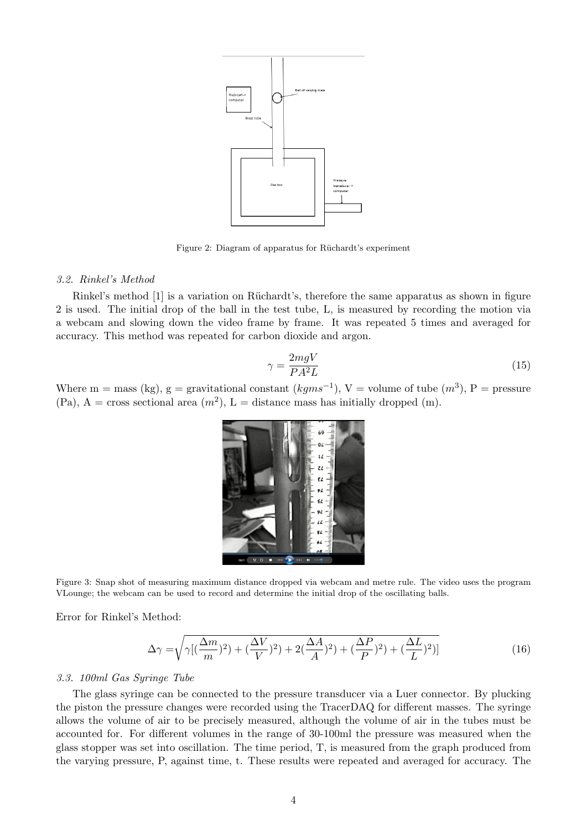

Figure 2: Diagram of apparatus for Rüchardt's experiment

#### 3.2. Rinkel's Method

Rinkel's method [1] is a variation on Rüchardt's, therefore the same apparatus as shown in figure 2 is used. The initial drop of the ball in the test tube, L, is measured by recording the motion via a webcam and slowing down the video frame by frame. It was repeated 5 times and averaged for accuracy. This method was repeated for carbon dioxide and argon.

$$
\gamma = \frac{2mgV}{PA^2L} \tag{15}
$$

Where m = mass (kg), g = gravitational constant  $(kgms^{-1})$ , V = volume of tube  $(m^3)$ , P = pressure  $(Pa)$ ,  $A = cross$  sectional area  $(m^2)$ ,  $L = distance$  mass has initially dropped  $(m)$ .



Figure 3: Snap shot of measuring maximum distance dropped via webcam and metre rule. The video uses the program VLounge; the webcam can be used to record and determine the initial drop of the oscillating balls.

Error for Rinkel's Method:

$$
\Delta \gamma = \sqrt{\gamma [(\frac{\Delta m}{m})^2 + (\frac{\Delta V}{V})^2 + 2(\frac{\Delta A}{A})^2 + (\frac{\Delta P}{P})^2 + (\frac{\Delta L}{L})^2)]}
$$
(16)

#### 3.3. 100ml Gas Syringe Tube

The glass syringe can be connected to the pressure transducer via a Luer connector. By plucking the piston the pressure changes were recorded using the TracerDAQ for different masses. The syringe allows the volume of air to be precisely measured, although the volume of air in the tubes must be accounted for. For different volumes in the range of 30-100ml the pressure was measured when the glass stopper was set into oscillation. The time period, T, is measured from the graph produced from the varying pressure, P, against time, t. These results were repeated and averaged for accuracy. The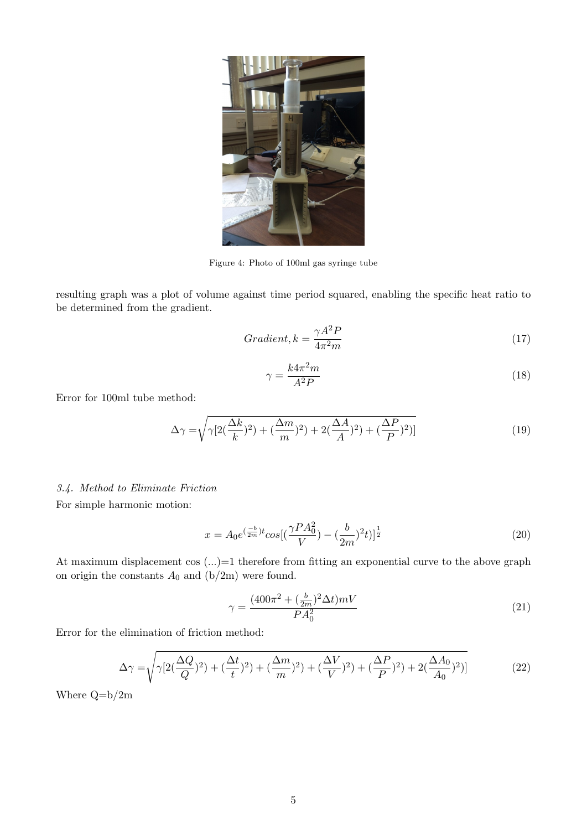

Figure 4: Photo of 100ml gas syringe tube

resulting graph was a plot of volume against time period squared, enabling the specific heat ratio to be determined from the gradient.

$$
Gradient, k = \frac{\gamma A^2 P}{4\pi^2 m}
$$
\n<sup>(17)</sup>

$$
\gamma = \frac{k4\pi^2 m}{A^2 P} \tag{18}
$$

Error for 100ml tube method:

$$
\Delta \gamma = \sqrt{\gamma \left[ 2\left(\frac{\Delta k}{k}\right)^2 + \left(\frac{\Delta m}{m}\right)^2 \right) + 2\left(\frac{\Delta A}{A}\right)^2 + \left(\frac{\Delta P}{P}\right)^2 \right]}
$$
(19)

## 3.4. Method to Eliminate Friction

For simple harmonic motion:

$$
x = A_0 e^{(\frac{-b}{2m})t} \cos[(\frac{\gamma P A_0^2}{V}) - (\frac{b}{2m})^2 t]^\frac{1}{2}
$$
\n(20)

At maximum displacement cos  $(...) = 1$  therefore from fitting an exponential curve to the above graph on origin the constants  $A_0$  and  $(b/2m)$  were found.

$$
\gamma = \frac{(400\pi^2 + (\frac{b}{2m})^2 \Delta t) mV}{PA_0^2}
$$
\n(21)

Error for the elimination of friction method:

$$
\Delta \gamma = \sqrt{\gamma \left[ 2(\frac{\Delta Q}{Q})^2 + (\frac{\Delta t}{t})^2 + (\frac{\Delta m}{m})^2 \right] + (\frac{\Delta V}{V})^2 + (\frac{\Delta P}{P})^2 + 2(\frac{\Delta A_0}{A_0})^2)}
$$
(22)

Where Q=b/2m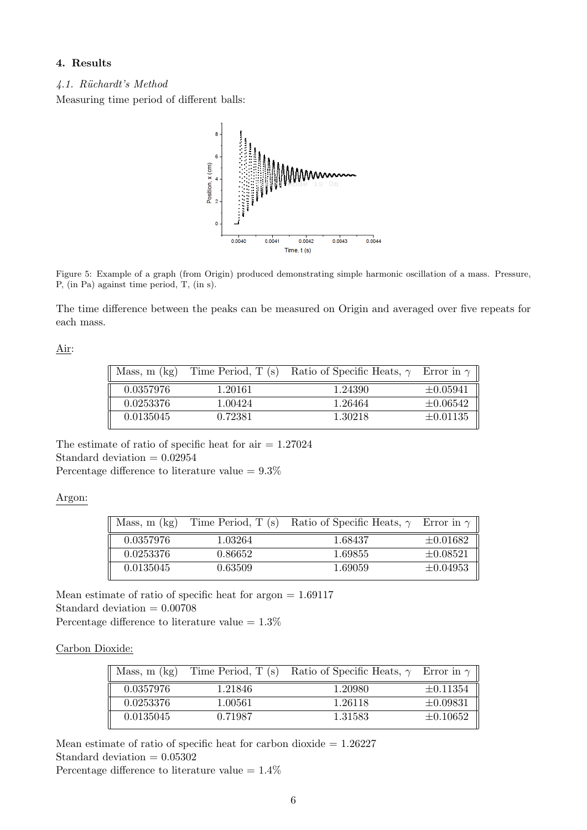# 4. Results

4.1. R¨uchardt's Method

Measuring time period of different balls:



Figure 5: Example of a graph (from Origin) produced demonstrating simple harmonic oscillation of a mass. Pressure, P, (in Pa) against time period, T, (in s).

The time difference between the peaks can be measured on Origin and averaged over five repeats for each mass.

## Air:

| Mass, $m$ $(kg)$ | Time Period, T (s) | Ratio of Specific Heats, $\gamma$ Error in $\gamma$ |               |
|------------------|--------------------|-----------------------------------------------------|---------------|
| 0.0357976        | 1.20161            | 1.24390                                             | $\pm 0.05941$ |
| 0.0253376        | 1.00424            | 1.26464                                             | $\pm 0.06542$ |
| 0.0135045        | 0.72381            | 1.30218                                             | $\pm 0.01135$ |

The estimate of ratio of specific heat for  $air = 1.27024$ Standard deviation  $= 0.02954$ Percentage difference to literature value  $= 9.3\%$ 

## Argon:

| Mass, $m$ $(kg)$ |         | Time Period, T (s) Ratio of Specific Heats, $\gamma$ Error in $\gamma$ |               |
|------------------|---------|------------------------------------------------------------------------|---------------|
| 0.0357976        | 1.03264 | 1.68437                                                                | $\pm 0.01682$ |
| 0.0253376        | 0.86652 | 1.69855                                                                | $\pm 0.08521$ |
| 0.0135045        | 0.63509 | 1.69059                                                                | $\pm 0.04953$ |

Mean estimate of ratio of specific heat for argon = 1.69117 Standard deviation = 0.00708 Percentage difference to literature value  $= 1.3\%$ 

Carbon Dioxide:

| Mass, $m$ (kg) |         | Time Period, T (s) Ratio of Specific Heats, $\gamma$ Error in $\gamma$ |               |
|----------------|---------|------------------------------------------------------------------------|---------------|
| 0.0357976      | 1.21846 | 1.20980                                                                | $\pm 0.11354$ |
| 0.0253376      | 1.00561 | 1.26118                                                                | $\pm 0.09831$ |
| 0.0135045      | 0.71987 | 1.31583                                                                | $\pm 0.10652$ |

Mean estimate of ratio of specific heat for carbon dioxide  $= 1.26227$ Standard deviation  $= 0.05302$ 

Percentage difference to literature value  $= 1.4\%$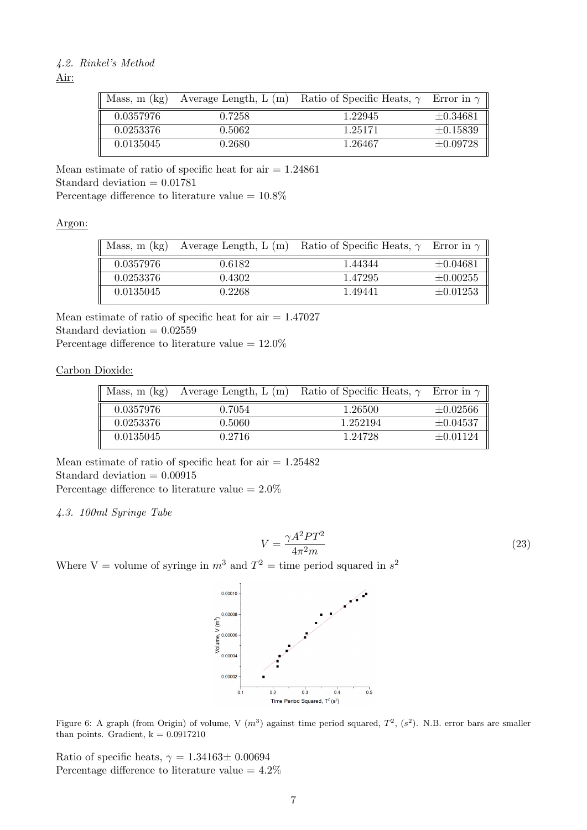# 4.2. Rinkel's Method

Air:

| Mass, $m$ (kg) | Average Length, $L(m)$ | Ratio of Specific Heats, $\gamma$ Error in $\gamma$ |               |
|----------------|------------------------|-----------------------------------------------------|---------------|
| 0.0357976      | 0.7258                 | 1.22945                                             | $\pm 0.34681$ |
| 0.0253376      | 0.5062                 | 1.25171                                             | $\pm 0.15839$ |
| 0.0135045      | 0.2680                 | 1.26467                                             | $\pm 0.09728$ |

Mean estimate of ratio of specific heat for  $air = 1.24861$ Standard deviation  $= 0.01781$ Percentage difference to literature value  $= 10.8\%$ 

Argon:

| Mass, $m$ (kg) | Average Length, $L(m)$ | Ratio of Specific Heats, $\gamma$ Error in $\gamma$ |               |
|----------------|------------------------|-----------------------------------------------------|---------------|
| 0.0357976      | 0.6182                 | 1.44344                                             | $\pm 0.04681$ |
| 0.0253376      | 0.4302                 | 1.47295                                             | $\pm 0.00255$ |
| 0.0135045      | 0.2268                 | 1.49441                                             | $\pm 0.01253$ |

Mean estimate of ratio of specific heat for  $air = 1.47027$ Standard deviation  $= 0.02559$ 

Percentage difference to literature value  $= 12.0\%$ 

Carbon Dioxide:

| Mass, $m$ $(kg)$ | Average Length, $L(m)$ | Ratio of Specific Heats, $\gamma$ Error in $\gamma$ |               |
|------------------|------------------------|-----------------------------------------------------|---------------|
| 0.0357976        | 0.7054                 | 1.26500                                             | $\pm 0.02566$ |
| 0.0253376        | 0.5060                 | 1.252194                                            | $\pm 0.04537$ |
| 0.0135045        | 0.2716                 | 1.24728                                             | $\pm 0.01124$ |

Mean estimate of ratio of specific heat for  $air = 1.25482$ Standard deviation  $= 0.00915$ Percentage difference to literature value =  $2.0\%$ 

4.3. 100ml Syringe Tube

$$
V = \frac{\gamma A^2 P T^2}{4\pi^2 m} \tag{23}
$$

Where V = volume of syringe in  $m^3$  and  $T^2 =$  time period squared in  $s^2$ 



Figure 6: A graph (from Origin) of volume, V  $(m^3)$  against time period squared,  $T^2$ ,  $(s^2)$ . N.B. error bars are smaller than points. Gradient,  $k = 0.0917210$ 

Ratio of specific heats,  $\gamma = 1.34163 \pm 0.00694$ Percentage difference to literature value  $=4.2\%$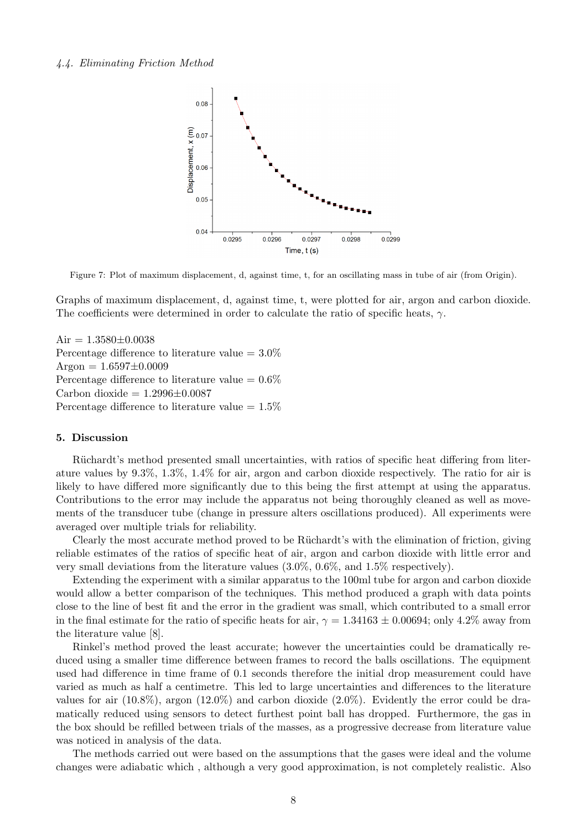#### 4.4. Eliminating Friction Method



Figure 7: Plot of maximum displacement, d, against time, t, for an oscillating mass in tube of air (from Origin).

Graphs of maximum displacement, d, against time, t, were plotted for air, argon and carbon dioxide. The coefficients were determined in order to calculate the ratio of specific heats,  $\gamma$ .

Air =  $1.3580 \pm 0.0038$ Percentage difference to literature value  $=3.0\%$  $Argon = 1.6597 \pm 0.0009$ Percentage difference to literature value  $= 0.6\%$ Carbon dioxide  $= 1.2996 \pm 0.0087$ Percentage difference to literature value =  $1.5\%$ 

#### 5. Discussion

Rüchardt's method presented small uncertainties, with ratios of specific heat differing from literature values by 9.3%, 1.3%, 1.4% for air, argon and carbon dioxide respectively. The ratio for air is likely to have differed more significantly due to this being the first attempt at using the apparatus. Contributions to the error may include the apparatus not being thoroughly cleaned as well as movements of the transducer tube (change in pressure alters oscillations produced). All experiments were averaged over multiple trials for reliability.

Clearly the most accurate method proved to be Rüchardt's with the elimination of friction, giving reliable estimates of the ratios of specific heat of air, argon and carbon dioxide with little error and very small deviations from the literature values (3.0%, 0.6%, and 1.5% respectively).

Extending the experiment with a similar apparatus to the 100ml tube for argon and carbon dioxide would allow a better comparison of the techniques. This method produced a graph with data points close to the line of best fit and the error in the gradient was small, which contributed to a small error in the final estimate for the ratio of specific heats for air,  $\gamma = 1.34163 \pm 0.00694$ ; only 4.2% away from the literature value [8].

Rinkel's method proved the least accurate; however the uncertainties could be dramatically reduced using a smaller time difference between frames to record the balls oscillations. The equipment used had difference in time frame of 0.1 seconds therefore the initial drop measurement could have varied as much as half a centimetre. This led to large uncertainties and differences to the literature values for air  $(10.8\%)$ , argon  $(12.0\%)$  and carbon dioxide  $(2.0\%)$ . Evidently the error could be dramatically reduced using sensors to detect furthest point ball has dropped. Furthermore, the gas in the box should be refilled between trials of the masses, as a progressive decrease from literature value was noticed in analysis of the data.

The methods carried out were based on the assumptions that the gases were ideal and the volume changes were adiabatic which , although a very good approximation, is not completely realistic. Also